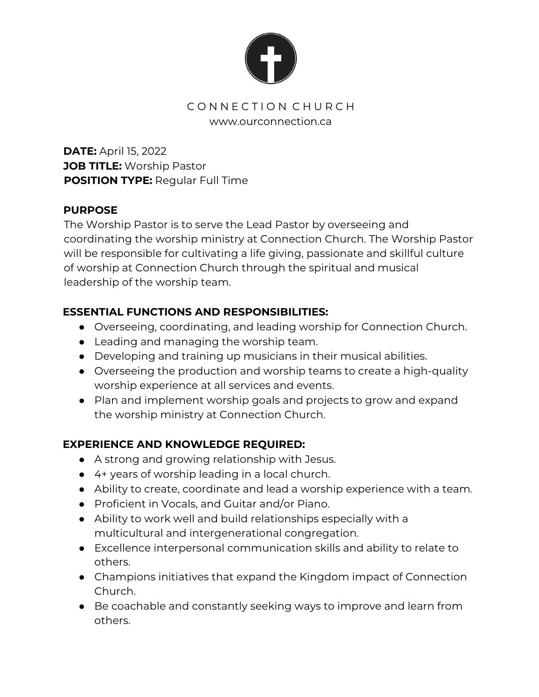

### CONNECTION CHURCH www.ourconnection.ca

**DATE:** April 15, 2022 **JOB TITLE:** Worship Pastor **POSITION TYPE:** Regular Full Time

### **PURPOSE**

The Worship Pastor is to serve the Lead Pastor by overseeing and coordinating the worship ministry at Connection Church. The Worship Pastor will be responsible for cultivating a life giving, passionate and skillful culture of worship at Connection Church through the spiritual and musical leadership of the worship team.

## **ESSENTIAL FUNCTIONS AND RESPONSIBILITIES:**

- Overseeing, coordinating, and leading worship for Connection Church.
- Leading and managing the worship team.
- Developing and training up musicians in their musical abilities.
- Overseeing the production and worship teams to create a high-quality worship experience at all services and events.
- Plan and implement worship goals and projects to grow and expand the worship ministry at Connection Church.

# **EXPERIENCE AND KNOWLEDGE REQUIRED:**

- A strong and growing relationship with Jesus.
- 4+ years of worship leading in a local church.
- Ability to create, coordinate and lead a worship experience with a team.
- Proficient in Vocals, and Guitar and/or Piano.
- Ability to work well and build relationships especially with a multicultural and intergenerational congregation.
- Excellence interpersonal communication skills and ability to relate to others.
- Champions initiatives that expand the Kingdom impact of Connection Church.
- Be coachable and constantly seeking ways to improve and learn from others.